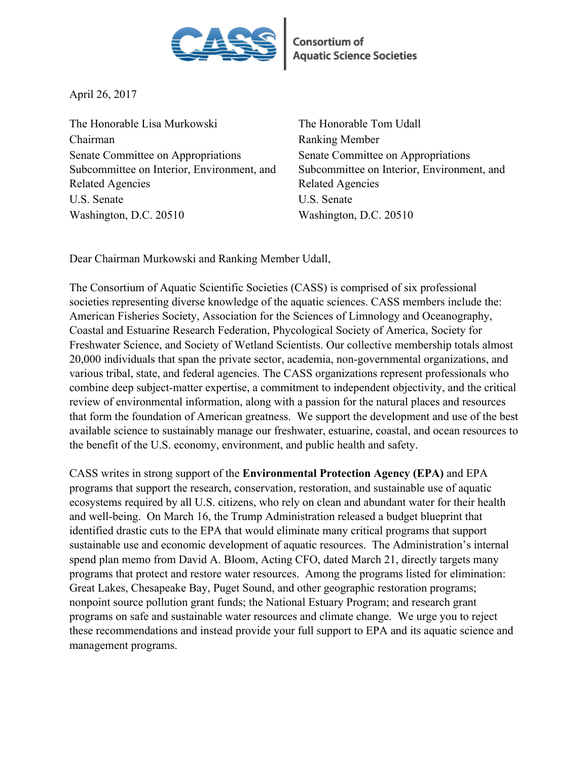

April 26, 2017

The Honorable Lisa Murkowski The Honorable Tom Udall Chairman Ranking Member Senate Committee on Appropriations Subcommittee on Interior, Environment, and Related Agencies U.S. Senate U.S. Senate Washington, D.C. 20510 Washington, D.C. 20510

Senate Committee on Appropriations Subcommittee on Interior, Environment, and Related Agencies

Dear Chairman Murkowski and Ranking Member Udall,

The Consortium of Aquatic Scientific Societies (CASS) is comprised of six professional societies representing diverse knowledge of the aquatic sciences. CASS members include the: American Fisheries Society, Association for the Sciences of Limnology and Oceanography, Coastal and Estuarine Research Federation, Phycological Society of America, Society for Freshwater Science, and Society of Wetland Scientists. Our collective membership totals almost 20,000 individuals that span the private sector, academia, non-governmental organizations, and various tribal, state, and federal agencies. The CASS organizations represent professionals who combine deep subject-matter expertise, a commitment to independent objectivity, and the critical review of environmental information, along with a passion for the natural places and resources that form the foundation of American greatness. We support the development and use of the best available science to sustainably manage our freshwater, estuarine, coastal, and ocean resources to the benefit of the U.S. economy, environment, and public health and safety.

CASS writes in strong support of the **Environmental Protection Agency (EPA)** and EPA programs that support the research, conservation, restoration, and sustainable use of aquatic ecosystems required by all U.S. citizens, who rely on clean and abundant water for their health and well-being. On March 16, the Trump Administration released a budget blueprint that identified drastic cuts to the EPA that would eliminate many critical programs that support sustainable use and economic development of aquatic resources. The Administration's internal spend plan memo from David A. Bloom, Acting CFO, dated March 21, directly targets many programs that protect and restore water resources. Among the programs listed for elimination: Great Lakes, Chesapeake Bay, Puget Sound, and other geographic restoration programs; nonpoint source pollution grant funds; the National Estuary Program; and research grant programs on safe and sustainable water resources and climate change. We urge you to reject these recommendations and instead provide your full support to EPA and its aquatic science and management programs.